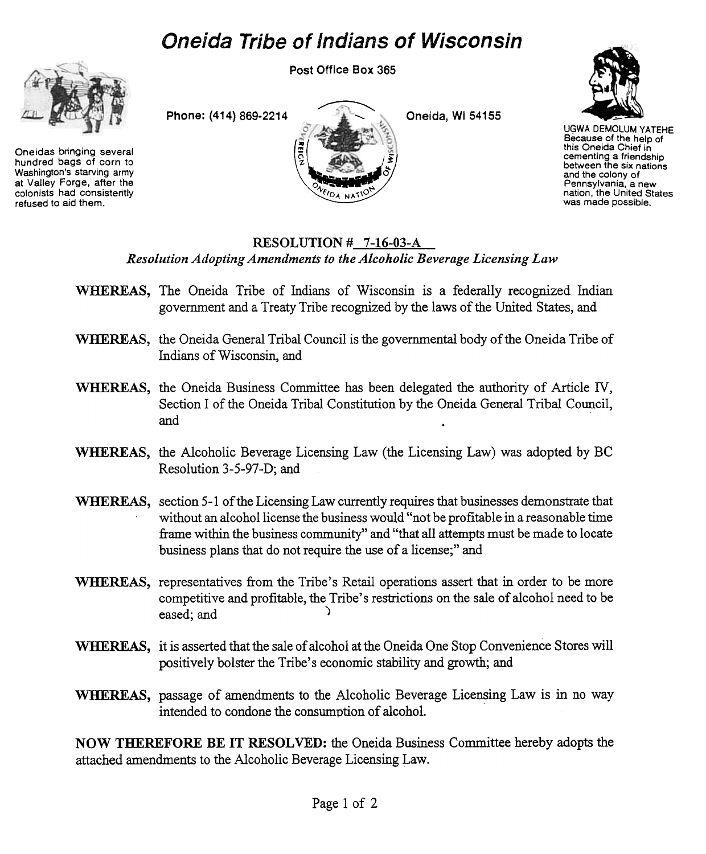## Oneida Tribe of Indians of Wisconsin



Oneidas bringing several hundred bags of corn to Washington's starving army at Valley Forge, after the colonists had consistently refused to aid them.

Post Office Box 365

 $\overbrace{\qquad \qquad }$ 

..

.'.

Phone: (414) 869-2214

Oneida, Wi 54155



UGWA DEMOLUM YATEHE Because of the help of this Oneida Chief in cementing a friendship between the six nations and the colony of Pennsylvania, a new nation, the United States was made possible.

#### RESOLUTION # 7-16-03-A Resolution Adopting Amendments to the Alcoholic Beverage Licensing Law

- WHEREAS, The Oneida Tribe of Indians of Wisconsin is a federally recognized Indian government and a Treaty Tribe recognized by the laws of the United States, and
- WHEREAS, the Oneida General Tribal Council is the governmental body of the Oneida Tribe of Indians of Wisconsin, and
- WHEREAS, the Oneida Business Committee has been delegated the authority of Article IV, Section I of the Oneida Tribal Constitution by the Oneida General Tribal Council, and .
- WHEREAS, the Alcoholic Beverage Licensing Law (the Licensing Law) was adopted by BC Resolution 3-5-97-D; and
- WHEREAS, section 5-1 of the Licensing Law currently requires that businesses demonstrate that without an alcohol license the business would "not be profitable in a reasonable time frame within the business community" and "that all attempts must be made to locate business plans that do not require the use of a license;" and
- WHEREAS, representatives from the Tribe's Retail operations assert that in order to be more competitive and profitable, the Tribe's restrictions on the sale of alcohol need to be eased; and )
- WHEREAS, it is asserted that the sale of alcohol at the Oneida One Stop Convenience Stores will positively bolster the Tribe's economic stability and growth; and
- WHEREAS, passage of amendments to the Alcoholic Beverage Licensing Law is in no way intended to condone the consumption of alcohol.

NOW THEREFORE BE IT RESOLVED: the Oneida Business Committee hereby adopts the attached amendments to the Alcoholic Beverage Licensing Law.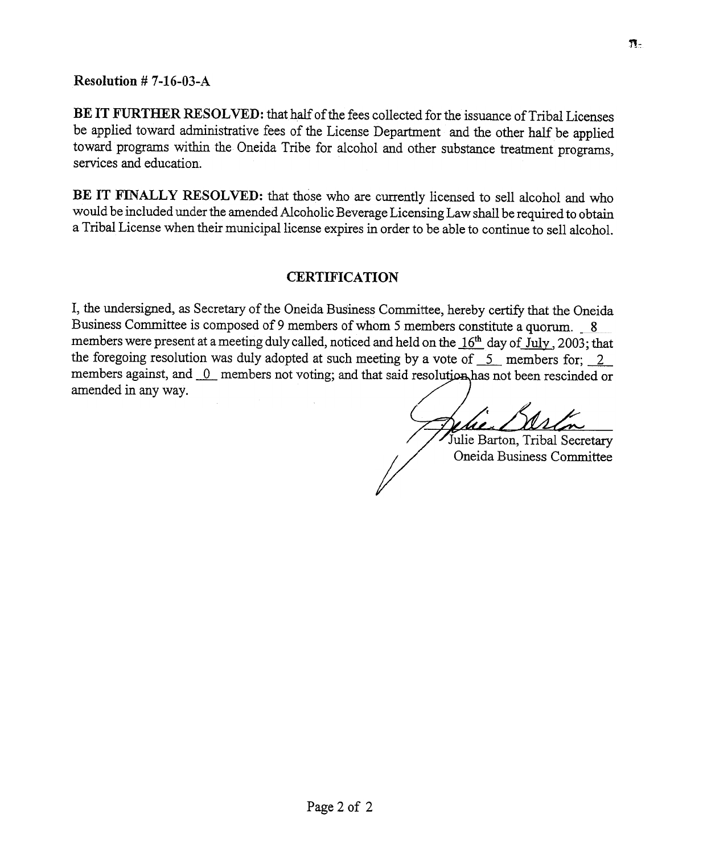Resolution # 7-16-03-A

BE IT FURTHER RESOLVED: that half of the fees collected for the issuance of Tribal Licenses be applied toward administrative fees of the License Department and the other half be applied toward programs within the Oneida Tribe for alcohol and other substance treatment programs, services and education.

BE IT FINALLY RESOLVED: that those who are currently licensed to sell alcohol and who would be included under the amended Alcoholic Beverage Licensing Law shall be required to obtain a Tribal License when their municipal license expires in order to be able to continue to sell alcohol.

#### CERTIFICATION

T, the undersigned, as Secretary of the Oneida Business Committee, hereby certify that the Oneida Business Committee is composed of 9 members of whom 5 members constitute a quorum.  $8$ members were present at a meeting duly called, noticed and held on the  $16<sup>th</sup>$  day of July, 2003; that the foregoing resolution was duly adopted at such meeting by a vote of  $\frac{5}{-2}$  members for; 2 members against, and 0 members not voting; and that said resolution has not been rescinded or amended in any way.

/' 41 L

Julie Barton, Tribal Secretary Oneida Business Committee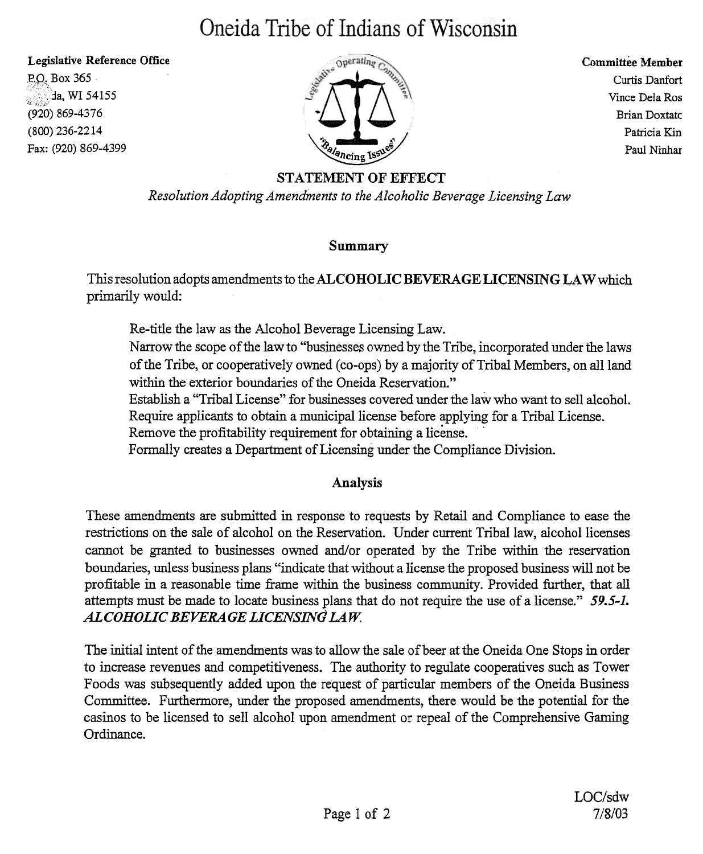# Oneida Tribe of Indians of Wisconsin

Legislative Reference Office

P.O. Box 365 :::::.<br>da, WI 54155; (920) 869-4376 (800) 236-2214 Fax: (920) 869-4399



Committee Member Curtis Danfart Vince Dela Ras Brian Doxtatc Patricia Kin Paul Ninhar

#### STATEMENT OF EFFECT

Resolution Adopting Amendments to the Alcoholic Beverage Licensing Law

#### Summary

This resolution adopts amendments to the ALCOHOLIC BEVERAGE LICENSING LAW which primarily would:

Re-title the law as the Alcohol Beverage Licensing Law.

Narrow the scope of the law to "businesses owned by the Tribe, incorporated under the laws of the Tribe, or cooperatively owned (co-ops) by a majority of Tribal Members, on all land within the exterior boundaries of the Oneida Reservation."

Establish a "Tribal License" for businesses covered under the law who want to sell alcohol.

Require applicants to obtain a municipal license before applying for a Tribal License.<br>Remove the profitability requirement for obtaining a license.

Formally creates a Department of Licensing under the Compliance Division.

### Analysis

These amendments are submitted in response to requests by Retail and Compliance to ease the restrictions on the sale of alcohol on the Reservation. Under current Tribal law, alcohol licenses cannot be granted to businesses owned and/or operated by the Tribe within the reservation boundaries, unless business plans "indicate that \:vithout a license the proposed business will not be profitable in a reasonable time frame within the business community. Provided further, that all attempts must be made to locate business plans that do not require the use of a license." 59.5-1. ALCOHOLIC BEVERAGE LICENSING LAW.

The initial intent of the amendments was to allow the sale of beer at the Oneida One Stops in order to increase revenues and competitiveness. The authority to regulate cooperatives such as Tower Foods was subsequently added upon the request of particular members of the Oneida Business Committee. Furthermore, under the proposed amendments, there would be the potential for the casinos to be licensed to sell alcohol upon amendment or repeal of the Comprehensive Gaming Ordinance.